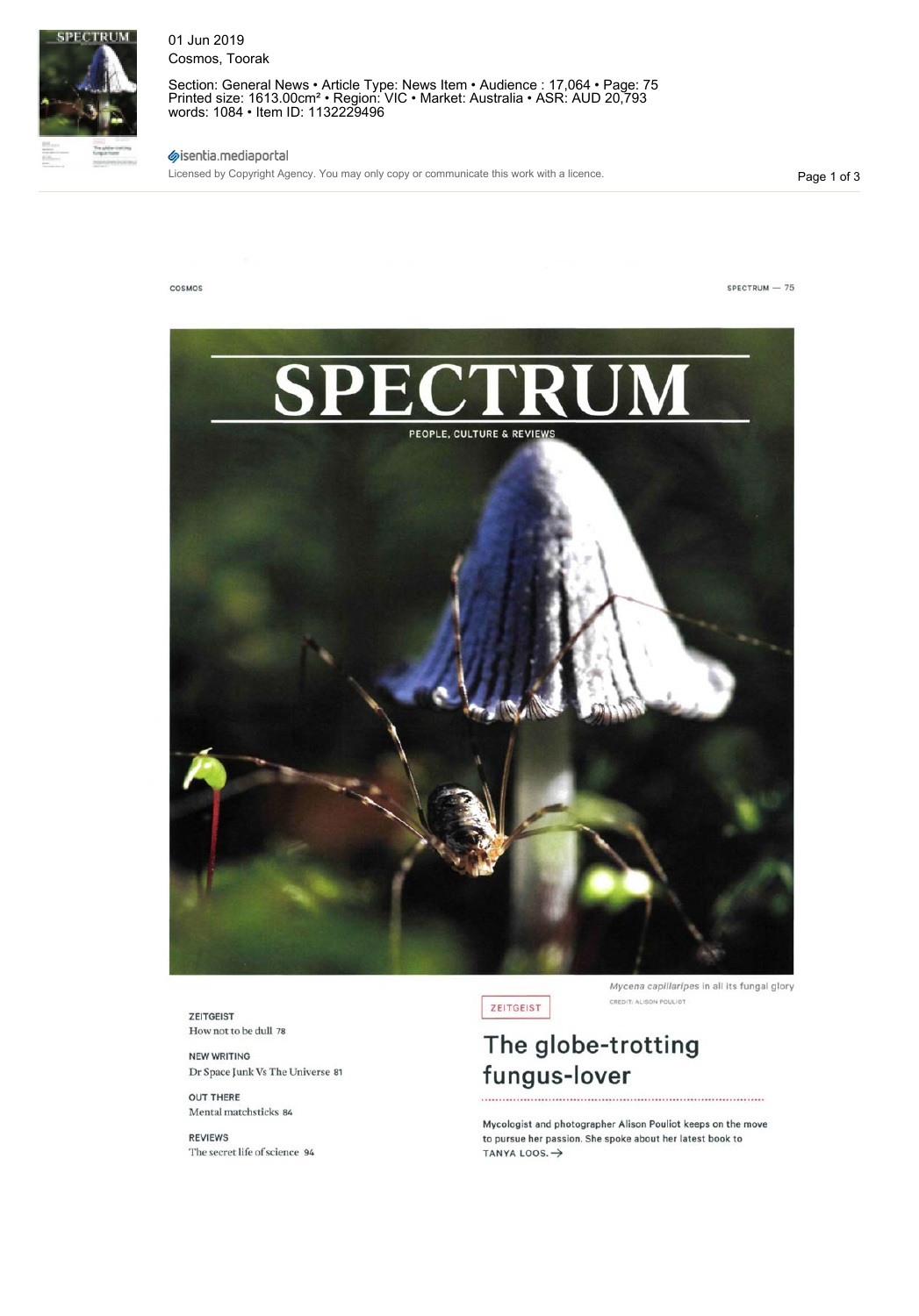

01 Jun 2019 Cosmos, Toorak

Section: General News • Article Type: News Item • Audience : 17,064 • Page: 75 Printed size: 1613.00cm² • Region: VIC • Market: Australia • ASR: AUD 20,793 words: 1084 • Item ID: 1132229496

# sisentia.mediaportal

Licensed by Copyright Agency. You may only copy or communicate this work with a licence.

Page 1 of 3



ZEITGEIST How not to be dull 78

NEW WRITING Dr Space Junk Vs The Universe 81

OUT THERE Mental matchsticks 84

REVIEWS The secret life of science 94 ZEITGEIST

Mycena capillaripes in ail its fungal glory CREDIT: ALISON POULIOT

# **The globe-trotting fungus-lover**

Mycologist and photographer Alison Pouliot keeps on the move to pursue her passion. She spoke about her latest book to TANYA LOOS. $\rightarrow$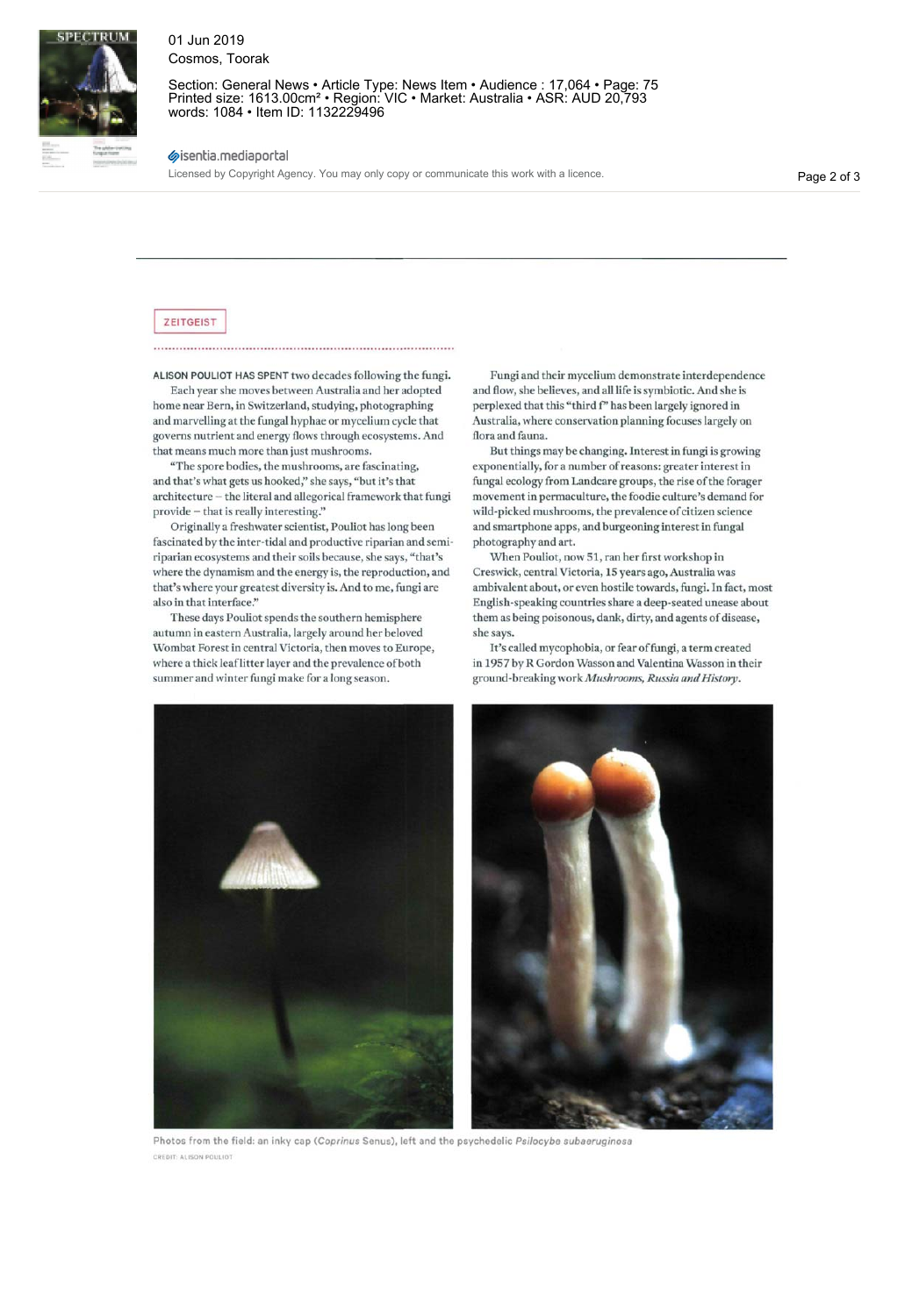![](_page_1_Picture_0.jpeg)

## 01 Jun 2019 Cosmos, Toorak

Section: General News • Article Type: News Item • Audience : 17,064 • Page: 75 Printed size: 1613.00cm² • Region: VIC • Market: Australia • ASR: AUD 20,793 words: 1084 • Item ID: 1132229496

### sisentia.mediaportal

Licensed by Copyright Agency. You may only copy or communicate this work with a licence.

Page 2 of 3

#### ZEITGEIST

ALISON POULIOT HAS SPENT two decades following the fungi.

Each year she moves between Australia and her adopted home near Bern, in Switzerland, studying, photographing and marvelling at the fungal hyphae or mycelium cycle that governs nutrient and energy flows through ecosystems. And that means much more than just mushrooms.

"The spore bodies, the mushrooms, are fascinating, and that's what gets us hooked," she says, "but it's that architecture - the literal and allegorical framework that fungi  $\operatorname{provide} - \operatorname{that}$  is really interesting."

Originally a freshwater scientist, Pouliot has long been fascinated by the inter-tidal and productive riparian and semiriparian ecosystems and their soils because, she says, "that's where the dynamism and the energy is, the reproduction, and that's where your greatest diversity is. And to me, fungi are also in that interface."

These days Pouliot spends the southern hemisphere autumn in eastern Australia, largely around her beloved Wombat Forest in central Victoria, then moves to Europe, where a thick leaf litter layer and the prevalence of both summer and winter fungi make for a long season.

Fungi and their mycelium demonstrate interdependence and flow, she believes, and all life is symbiotic. And she is perplexed that this "third f" has been largely ignored in Australia, where conservation planning focuses largely on flora and fauna.

But things may be changing. Interest in fungi is growing exponentially, for a number of reasons: greater interest in fungal ecology from Landcare groups, the rise of the forager movement in permaculture, the foodie culture's demand for wild-picked mushrooms, the prevalence of citizen science and smartphone apps, and burgeoning interest in fungal photography and art.

When Pouliot, now 51, ran her first workshop in Creswick, central Victoria, 15 years ago, Australia was ambivalent about, or even hostile towards, fungi. In fact, most English-speaking countries share a deep-seated unease about them as being poisonous, dank, dirty, and agents of disease, she says.

It's called mycophobia, or fear of fungi, a term created in 1957 by R Gordon Wasson and Valentina Wasson in their ground-breaking work *Mushrooms, Russia and History;.*

![](_page_1_Picture_16.jpeg)

Photos from the field: an inky cap (Coprinus Senus), left and the psychedelic Psilocybe subaeruginosa CREDIT: ALISON POULIOT